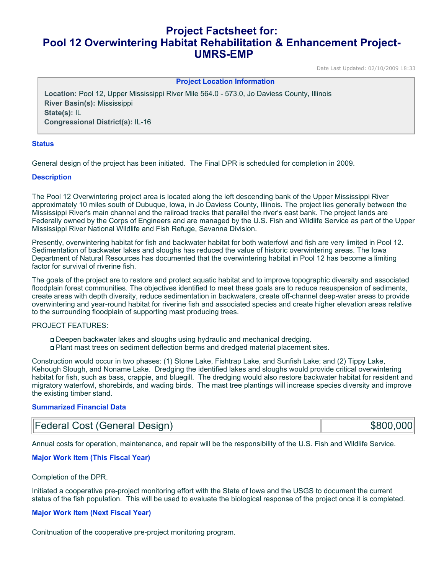# **Project Factsheet for: Pool 12 Overwintering Habitat Rehabilitation & Enhancement Project-UMRS-EMP**

Date Last Updated: 02/10/2009 18:33

**Project Location Information** 

**Location:** Pool 12, Upper Mississippi River Mile 564.0 - 573.0, Jo Daviess County, Illinois **River Basin(s):** Mississippi **State(s):** IL **Congressional District(s):** IL-16

## **Status**

General design of the project has been initiated. The Final DPR is scheduled for completion in 2009.

#### **Description**

The Pool 12 Overwintering project area is located along the left descending bank of the Upper Mississippi River approximately 10 miles south of Dubuque, Iowa, in Jo Daviess County, Illinois. The project lies generally between the Mississippi River's main channel and the railroad tracks that parallel the river's east bank. The project lands are Federally owned by the Corps of Engineers and are managed by the U.S. Fish and Wildlife Service as part of the Upper Mississippi River National Wildlife and Fish Refuge, Savanna Division.

Presently, overwintering habitat for fish and backwater habitat for both waterfowl and fish are very limited in Pool 12. Sedimentation of backwater lakes and sloughs has reduced the value of historic overwintering areas. The Iowa Department of Natural Resources has documented that the overwintering habitat in Pool 12 has become a limiting factor for survival of riverine fish.

The goals of the project are to restore and protect aquatic habitat and to improve topographic diversity and associated floodplain forest communities. The objectives identified to meet these goals are to reduce resuspension of sediments, create areas with depth diversity, reduce sedimentation in backwaters, create off-channel deep-water areas to provide overwintering and year-round habitat for riverine fish and associated species and create higher elevation areas relative to the surrounding floodplain of supporting mast producing trees.

#### PROJECT FEATURES:

- Deepen backwater lakes and sloughs using hydraulic and mechanical dredging.
- Plant mast trees on sediment deflection berms and dredged material placement sites.

Construction would occur in two phases: (1) Stone Lake, Fishtrap Lake, and Sunfish Lake; and (2) Tippy Lake, Kehough Slough, and Noname Lake. Dredging the identified lakes and sloughs would provide critical overwintering habitat for fish, such as bass, crappie, and bluegill. The dredging would also restore backwater habitat for resident and migratory waterfowl, shorebirds, and wading birds. The mast tree plantings will increase species diversity and improve the existing timber stand.

#### **Summarized Financial Data**

| Federal Cost (General Design) | \$800,000 |
|-------------------------------|-----------|
|-------------------------------|-----------|

Annual costs for operation, maintenance, and repair will be the responsibility of the U.S. Fish and Wildlife Service.

## **Major Work Item (This Fiscal Year)**

#### Completion of the DPR.

Initiated a cooperative pre-project monitoring effort with the State of Iowa and the USGS to document the current status of the fish population. This will be used to evaluate the biological response of the project once it is completed.

#### **Major Work Item (Next Fiscal Year)**

Conitnuation of the cooperative pre-project monitoring program.